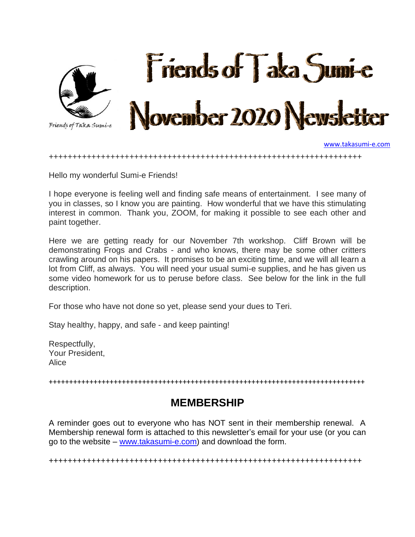

[www.takasumi-e.com](http://www.takasumi-e.com/)

++++++++++++++++++++++++++++++++++++++++++++++++++++++++++++++++++

Hello my wonderful Sumi-e Friends!

I hope everyone is feeling well and finding safe means of entertainment. I see many of you in classes, so I know you are painting. How wonderful that we have this stimulating interest in common. Thank you, ZOOM, for making it possible to see each other and paint together.

Here we are getting ready for our November 7th workshop. Cliff Brown will be demonstrating Frogs and Crabs - and who knows, there may be some other critters crawling around on his papers. It promises to be an exciting time, and we will all learn a lot from Cliff, as always. You will need your usual sumi-e supplies, and he has given us some video homework for us to peruse before class. See below for the link in the full description.

For those who have not done so yet, please send your dues to Teri.

Stay healthy, happy, and safe - and keep painting!

Respectfully, Your President, Alice

++++++++++++++++++++++++++++++++++++++++++++++++++++++++++++++++++++++++++++++

### **MEMBERSHIP**

A reminder goes out to everyone who has NOT sent in their membership renewal. A Membership renewal form is attached to this newsletter's email for your use (or you can go to the website – [www.takasumi-e.com\)](http://www.takasumi-e.com/) and download the form.

++++++++++++++++++++++++++++++++++++++++++++++++++++++++++++++++++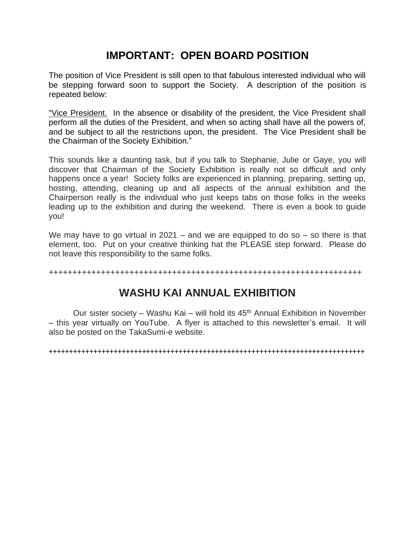## **IMPORTANT: OPEN BOARD POSITION**

The position of Vice President is still open to that fabulous interested individual who will be stepping forward soon to support the Society. A description of the position is repeated below:

"Vice President. In the absence or disability of the president, the Vice President shall perform all the duties of the President, and when so acting shall have all the powers of, and be subject to all the restrictions upon, the president. The Vice President shall be the Chairman of the Society Exhibition."

This sounds like a daunting task, but if you talk to Stephanie, Julie or Gaye, you will discover that Chairman of the Society Exhibition is really not so difficult and only happens once a year! Society folks are experienced in planning, preparing, setting up, hosting, attending, cleaning up and all aspects of the annual exhibition and the Chairperson really is the individual who just keeps tabs on those folks in the weeks leading up to the exhibition and during the weekend. There is even a book to guide you!

We may have to go virtual in 2021 – and we are equipped to do so  $-$  so there is that element, too. Put on your creative thinking hat the PLEASE step forward. Please do not leave this responsibility to the same folks.

++++++++++++++++++++++++++++++++++++++++++++++++++++++++++++++++++

## **WASHU KAI ANNUAL EXHIBITION**

Our sister society – Washu Kai – will hold its  $45<sup>th</sup>$  Annual Exhibition in November – this year virtually on YouTube. A flyer is attached to this newsletter's email. It will also be posted on the TakaSumi-e website.

++++++++++++++++++++++++++++++++++++++++++++++++++++++++++++++++++++++++++++++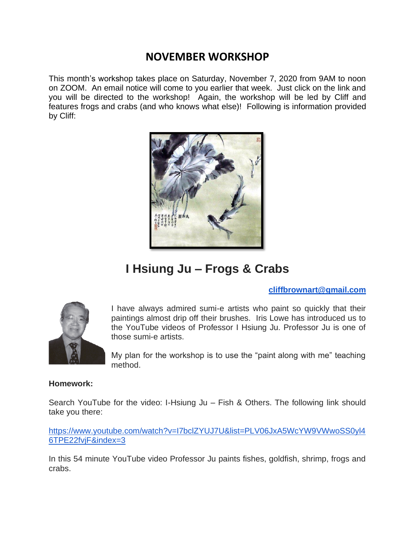## **NOVEMBER WORKSHOP**

This month's workshop takes place on Saturday, November 7, 2020 from 9AM to noon on ZOOM. An email notice will come to you earlier that week. Just click on the link and you will be directed to the workshop! Again, the workshop will be led by Cliff and features frogs and crabs (and who knows what else)! Following is information provided by Cliff:



# **I Hsiung Ju – Frogs & Crabs**

### **[cliffbrownart@gmail.com](mailto:cliffbrownart@gmail.com)**



I have always admired sumi-e artists who paint so quickly that their paintings almost drip off their brushes. Iris Lowe has introduced us to the YouTube videos of Professor I Hsiung Ju. Professor Ju is one of those sumi-e artists.

My plan for the workshop is to use the "paint along with me" teaching method.

#### **Homework:**

Search YouTube for the video: I-Hsiung Ju – Fish & Others. The following link should take you there:

[https://www.youtube.com/watch?v=I7bclZYUJ7U&list=PLV06JxA5WcYW9VWwoSS0yl4](https://www.youtube.com/watch?v=I7bclZYUJ7U&list=PLV06JxA5WcYW9VWwoSS0yl46TPE22fvjF&index=3) [6TPE22fvjF&index=3](https://www.youtube.com/watch?v=I7bclZYUJ7U&list=PLV06JxA5WcYW9VWwoSS0yl46TPE22fvjF&index=3)

In this 54 minute YouTube video Professor Ju paints fishes, goldfish, shrimp, frogs and crabs.